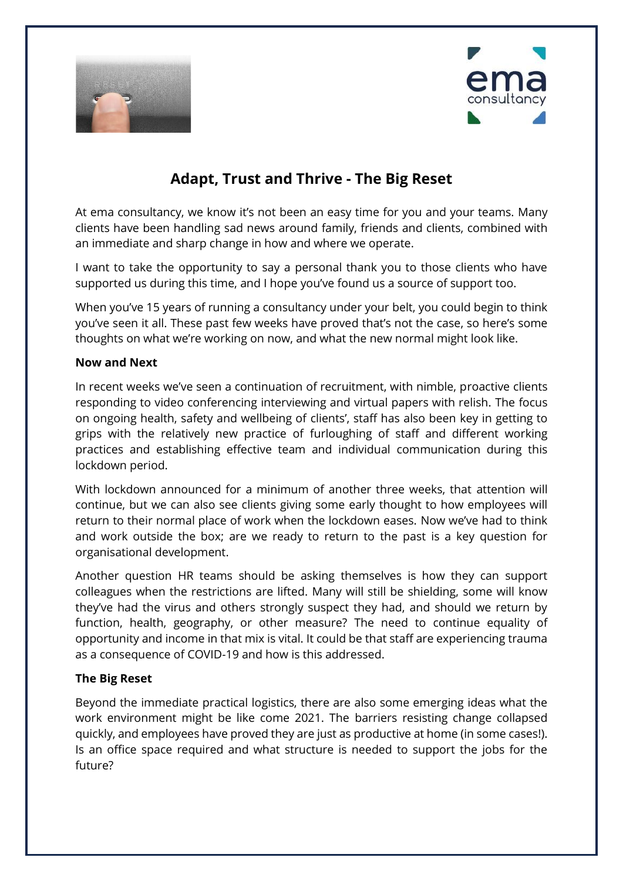



## **Adapt, Trust and Thrive - The Big Reset**

At ema consultancy, we know it's not been an easy time for you and your teams. Many clients have been handling sad news around family, friends and clients, combined with an immediate and sharp change in how and where we operate.

I want to take the opportunity to say a personal thank you to those clients who have supported us during this time, and I hope you've found us a source of support too.

When you've 15 years of running a consultancy under your belt, you could begin to think you've seen it all. These past few weeks have proved that's not the case, so here's some thoughts on what we're working on now, and what the new normal might look like.

## **Now and Next**

In recent weeks we've seen a continuation of recruitment, with nimble, proactive clients responding to video conferencing interviewing and virtual papers with relish. The focus on ongoing health, safety and wellbeing of clients', staff has also been key in getting to grips with the relatively new practice of furloughing of staff and different working practices and establishing effective team and individual communication during this lockdown period.

With lockdown announced for a minimum of another three weeks, that attention will continue, but we can also see clients giving some early thought to how employees will return to their normal place of work when the lockdown eases. Now we've had to think and work outside the box; are we ready to return to the past is a key question for organisational development.

Another question HR teams should be asking themselves is how they can support colleagues when the restrictions are lifted. Many will still be shielding, some will know they've had the virus and others strongly suspect they had, and should we return by function, health, geography, or other measure? The need to continue equality of opportunity and income in that mix is vital. It could be that staff are experiencing trauma as a consequence of COVID-19 and how is this addressed.

## **The Big Reset**

Beyond the immediate practical logistics, there are also some emerging ideas what the work environment might be like come 2021. The barriers resisting change collapsed quickly, and employees have proved they are just as productive at home (in some cases!). Is an office space required and what structure is needed to support the jobs for the future?